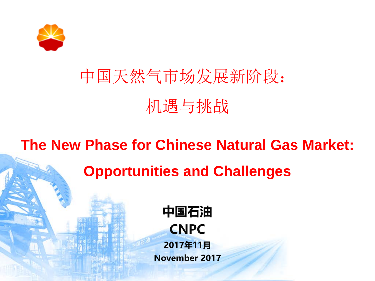

# 中国天然气市场发展新阶段: 机遇与挑战

# **The New Phase for Chinese Natural Gas Market: Opportunities and Challenges**

**中国石油 CNPC 2017年11月 November 2017**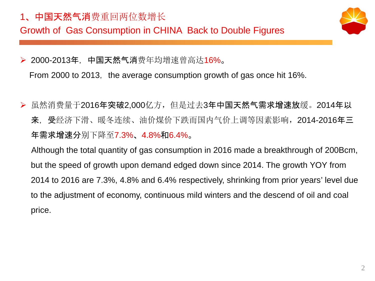### 1、中国天然气消费重回两位数增长 Growth of Gas Consumption in CHINA Back to Double Figures



▶ 2000-2013年, 中国天然气消费年均增速曾高达16%。

From 2000 to 2013, the average consumption growth of gas once hit 16%.

 虽然消费量于2016年突破2,000亿方,但是过去3年中国天然气需求增速放缓。2014年以 来,受经济下滑、暖冬连续、油价煤价下跌而国内气价上调等因素影响,2014-2016年三 年需求增速分别下降至7.3%、4.8%和6.4%。

 Although the total quantity of gas consumption in 2016 made a breakthrough of 200Bcm, but the speed of growth upon demand edged down since 2014. The growth YOY from 2014 to 2016 are 7.3%, 4.8% and 6.4% respectively, shrinking from prior years' level due to the adjustment of economy, continuous mild winters and the descend of oil and coal price.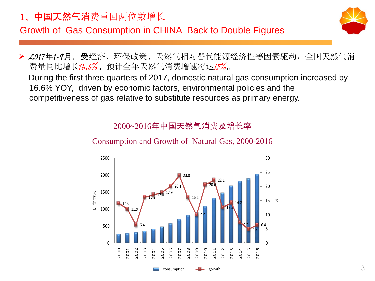



*201*7年1-9月,受经济、环保政策、天然气相对替代能源经济性等因素驱动,全国天然气消 贵量同比增长16.6%。预计全年天然气消费增速将达15%。 During the first three quarters of 2017, domestic natural gas consumption increased by 16.6% YOY, driven by economic factors, environmental policies and the competitiveness of gas relative to substitute resources as primary energy.

2000~2016年中国天然气消费及增长率

Consumption and Growth of Natural Gas, 2000-2016

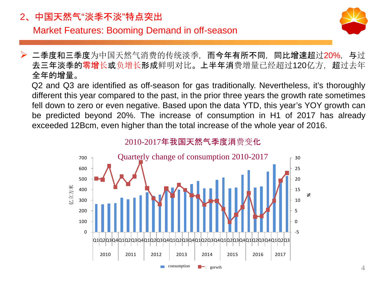2、中国天然气"淡季不淡"特点突出

Market Features: Booming Demand in off-season



 二季度和三季度为中国天然气消费的传统淡季,而今年有所不同,同比增速超过20%,与过 去三年淡季的零增长或负增长形成鲜明对比。上半年消费增量已经超过120亿方,超过去年 全年的增量。

 Q2 and Q3 are identified as off-season for gas traditionally. Nevertheless, it's thoroughly different this year compared to the past, in the prior three years the growth rate sometimes fell down to zero or even negative. Based upon the data YTD, this year's YOY growth can be predicted beyond 20%. The increase of consumption in H1 of 2017 has already exceeded 12Bcm, even higher than the total increase of the whole year of 2016.



#### 2010-2017年我国天然气季度消费变化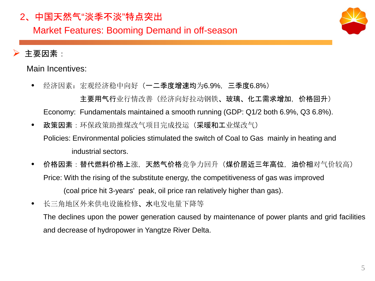2、中国天然气"淡季不淡"特点突出

Market Features: Booming Demand in off-season



主要因素:

Main Incentives:

• 经济因素:宏观经济稳中向好(一二季度增速均为6.9%,三季度6.8%)

 主要用气行业行情改善(经济向好拉动钢铁、玻璃、化工需求增加,价格回升) Economy: Fundamentals maintained a smooth running (GDP: Q1/2 both 6.9%, Q3 6.8%).

• 政策因素:环保政策助推煤改气项目完成投运(采暖和工业煤改气)

- Policies: Environmental policies stimulated the switch of Coal to Gas mainly in heating and industrial sectors.
- 价格因素:替代燃料价格上涨,天然气价格竞争力回升(煤价居近三年高位,油价相对气价较高) Price: With the rising of the substitute energy, the competitiveness of gas was improved (coal price hit 3-years' peak, oil price ran relatively higher than gas).
- 长三角地区外来供电设施检修、水电发电量下降等

 The declines upon the power generation caused by maintenance of power plants and grid facilities and decrease of hydropower in Yangtze River Delta.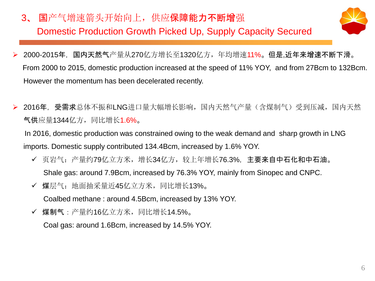3、 国产气增速箭头开始向上, 供应保障能力不断增强 Domestic Production Growth Picked Up, Supply Capacity Secured



- 2000-2015年,国内天然气产量从270亿方增长至1320亿方,年均增速11%。但是,近年来增速不断下滑。 From 2000 to 2015, domestic production increased at the speed of 11% YOY, and from 27Bcm to 132Bcm. However the momentum has been decelerated recently.
- 2016年,受需求总体不振和LNG进口量大幅增长影响,国内天然气产量(含煤制气)受到压减,国内天然 **气供**应量1344亿方,同比增长1.6%。

 In 2016, domestic production was constrained owing to the weak demand and sharp growth in LNG imports. Domestic supply contributed 134.4Bcm, increased by 1.6% YOY.

- ✔ 页岩气:产量约79亿立方米,增长34亿方,较上年增长76.3%,主要来自中石化和中石油。 Shale gas: around 7.9Bcm, increased by 76.3% YOY, mainly from Sinopec and CNPC.
- ✔ 煤层气: 地面抽采量近45亿立方米, 同比增长13%。

Coalbed methane : around 4.5Bcm, increased by 13% YOY.

✔ 煤制气:产量约16亿立方米,同比增长14.5%。

Coal gas: around 1.6Bcm, increased by 14.5% YOY.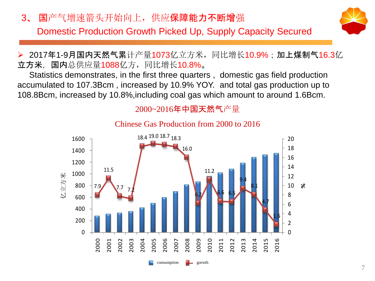Domestic Production Growth Picked Up, Supply Capacity Secured

 2017年1-9月国内天然气累计产量1073亿立方米,同比增长10.9%;加上煤制气16.3亿 立方米,国内总供应量1088亿方,同比增长10.8%。

Statistics demonstrates, in the first three quarters , domestic gas field production accumulated to 107.3Bcm , increased by 10.9% YOY. and total gas production up to 108.8Bcm, increased by 10.8%,including coal gas which amount to around 1.6Bcm.

### 2000~2016年中国天然气产量

Chinese Gas Production from 2000 to 2016

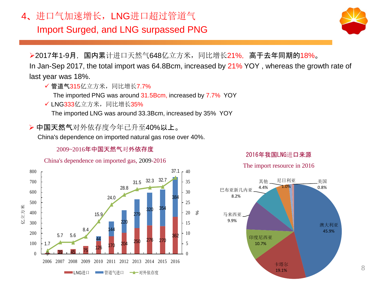

▶2017年1-9月, 国内累计讲口天然气648亿立方米, 同比增长21%, 高于去年同期的18%。 In Jan-Sep 2017, the total import was 64.8Bcm, increased by 21% YOY , whereas the growth rate of last year was 18%.

✔ 管道气315亿立方米,同比增长7.7%

The imported PNG was around 31.5Bcm, increased by 7.7% YOY

**√LNG333亿立方米,同比增长35%** 

The imported LNG was around 33.3Bcm, increased by 35% YOY

中国天然气对外依存度今年已升至40%以上。

China's dependence on imported natural gas rose over 40%.

#### 2009~2016年中国天然气对外依存度



#### 2016年我国LNG进口来源

The import resource in 2016

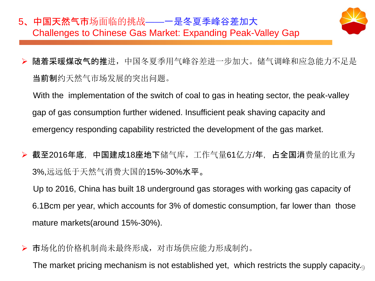5、中国天然气市场面临的挑战——一是冬夏季峰谷差加大 Challenges to Chinese Gas Market: Expanding Peak-Valley Gap



- 随着采暖煤改气的推进,中国冬夏季用气峰谷差进一步加大。储气调峰和应急能力不足是 当前制约天然气市场发展的突出问题。
	- With the implementation of the switch of coal to gas in heating sector, the peak-valley gap of gas consumption further widened. Insufficient peak shaving capacity and emergency responding capability restricted the development of the gas market.
- ▶ 截至2016年底,中国建成18座地下储气库,工作气量61亿方/年, 占全国消费量的比重为 3%,远远低于天然气消费大国的15%-30%水平。

 Up to 2016, China has built 18 underground gas storages with working gas capacity of 6.1Bcm per year, which accounts for 3% of domestic consumption, far lower than those mature markets(around 15%-30%).

市场化的价格机制尚未最终形成,对市场供应能力形成制约。

The market pricing mechanism is not established yet, which restricts the supply capacity. $_\mathrm{\mathrm{\mathrm{9}}}$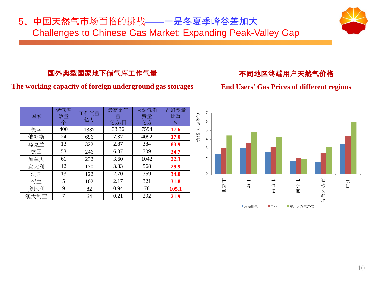### 5、中国天然气市场面临的挑战——一是冬夏季峰谷差加大 Challenges to Chinese Gas Market: Expanding Peak-Valley Gap

北京市

上海市

南京市

■居民用气 ■工业 ■车用天然气CNG

西宁市

乌鲁木齐市

乌鲁木齐市

广州

#### 国外典型国家地下储气库工作气量

#### **The working capacity of foreign underground gas storages**

**End Users' Gas Prices of different regions**

不同地区终端用户天然气价格

| 国家   | 储气库<br>数量 | 工作气量<br>亿方 | 最高采气<br>量<br>亿方/日 | 天然气消<br>费量<br>亿方 | 占消费量<br>比重<br>% | (元/米3) |
|------|-----------|------------|-------------------|------------------|-----------------|--------|
| 美国   | 400       | 1337       | 33.36             | 7594             | 17.6            |        |
| 俄罗斯  | 24        | 696        | 7.37              | 4092             | <b>17.0</b>     | 价格     |
| 乌克兰  | 13        | 322        | 2.87              | 384              | 83.9            |        |
| 德国   | 53        | 246        | 6.37              | 709              | 34.7            |        |
| 加拿大  | 61        | 232        | 3.60              | 1042             | 22.3            |        |
| 意大利  | 12        | 170        | 3.33              | 568              | 29.9            |        |
| 法国   | 13        | 122        | 2.70              | 359              | <b>34.0</b>     |        |
| 荷兰   | 5         | 102        | 2.17              | 321              | 31.8            |        |
| 奥地利  | 9         | 82         | 0.94              | 78               | 105.1           |        |
| 澳大利亚 |           | 64         | 0.21              | 292              | 21.9            |        |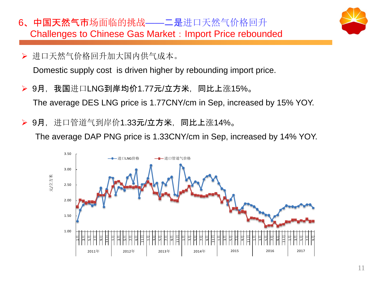6、中国天然气市场面临的挑战——二是进口天然气价格回升 Challenges to Chinese Gas Market: Import Price rebounded



进口天然气价格回升加大国内供气成本。

Domestic supply cost is driven higher by rebounding import price.

- ▶ 9月, 我国进口LNG到岸均价1.77元/立方米, 同比上涨15%。 The average DES LNG price is 1.77CNY/cm in Sep, increased by 15% YOY.
- ▶ 9月, 进口管道气到岸价1.33元/立方米, 同比上涨14%。

The average DAP PNG price is 1.33CNY/cm in Sep, increased by 14% YOY.

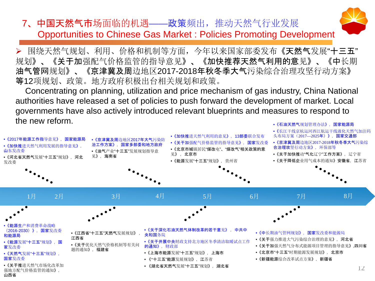## Opportunities to Chinese Gas Market : Policies Promoting Development



 围绕天然气规划、利用、价格和机制等方面,今年以来国家部委发布《天然气发展"十三五" 规划》、《关于加强配气价格监管的指导意见》、《加快推荐天然气利用的意见》、《中长期 油气管网规划》、《京津冀及周边地区2017-2018年秋冬季大气污染综合治理攻坚行动方案》 等12项规划、政策。地方政府积极出台相关规划和政策。

Concentrating on planning, utilization and price mechanism of gas industry, China National authorities have released a set of policies to push forward the development of market. Local governments have also actively introduced relevant blueprints and measures to respond to the new reform. •《石油天然气规划管理办法》,国家能源局

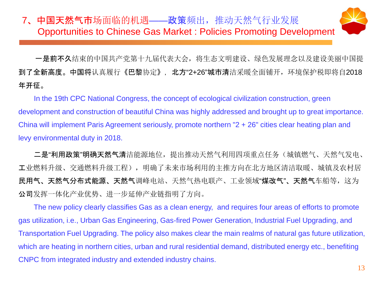



 一是前不久结束的中国共产党第十九届代表大会,将生态文明建设、绿色发展理念以及建设美丽中国提 到了全新高度。中国将认真履行《巴黎协定》,北方"2+26"城市清洁采暖全面铺开,环境保护税即将自2018 年开征。

 In the 19th CPC National Congress, the concept of ecological civilization construction, green development and construction of beautiful China was highly addressed and brought up to great importance. China will implement Paris Agreement seriously, promote northern "2 + 26" cities clear heating plan and levy environmental duty in 2018.

二是"利用政策"明确天然气清洁能源地位,提出推动天然气利用四项重点任务(城镇燃气、天然气发电、 工业燃料升级、交通燃料升级工程),明确了未来市场利用的主推方向在北方地区清洁取暖、城镇及农村居 民用气、天然气分布式能源、天然气调峰电站、天然气热电联产、工业领域"煤改气"、天然气车船等,这为 公司发挥一体化产业优势、进一步延伸产业链指明了方向。

 The new policy clearly classifies Gas as a clean energy, and requires four areas of efforts to promote gas utilization, i.e., Urban Gas Engineering, Gas-fired Power Generation, Industrial Fuel Upgrading, and Transportation Fuel Upgrading. The policy also makes clear the main realms of natural gas future utilization, which are heating in northern cities, urban and rural residential demand, distributed energy etc., benefiting CNPC from integrated industry and extended industry chains.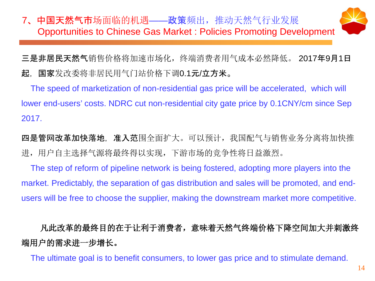7、中国天然气市场面临的机遇——政策频出,推动天然气行业发展 Opportunities to Chinese Gas Market : Policies Promoting Development



三是非居民天然气销售价格将加速市场化,终端消费者用气成本必然降低。 2017年9月1日 起, 国家发改委将非居民用气门站价格下调0.1元/立方米。

 The speed of marketization of non-residential gas price will be accelerated, which will lower end-users' costs. NDRC cut non-residential city gate price by 0.1CNY/cm since Sep 2017.

四是管网改革加快落地,准入范围全面扩大。可以预计,我国配气与销售业务分离将加快推 进,用户自主选择气源将最终得以实现,下游市场的竞争性将日益激烈。

 The step of reform of pipeline network is being fostered, adopting more players into the market. Predictably, the separation of gas distribution and sales will be promoted, and endusers will be free to choose the supplier, making the downstream market more competitive.

凡此改革的最终目的在于让利于消费者,意味着天然气终端价格下降空间加大并刺激终 端用户的需求进一步增长。

The ultimate goal is to benefit consumers, to lower gas price and to stimulate demand.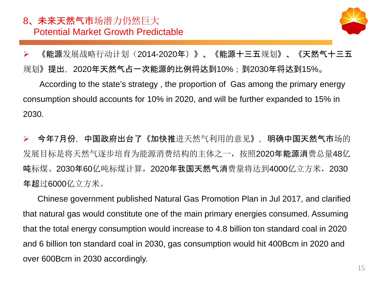

《能源发展战略行动计划(2014-2020年)》、《能源十三五规划》、《天然气十三五

规划》提出,2020年天然气占一次能源的比例将达到10%;到2030年将达到15%。

According to the state's strategy , the proportion of Gas among the primary energy consumption should accounts for 10% in 2020, and will be further expanded to 15% in 2030.

 今年7月份,中国政府出台了《加快推进天然气利用的意见》,明确中国天然气市场的 发展目标是将天然气逐步培育为能源消费结构的主体之一,按照2020年**能源消**费总量48亿 吨标煤、2030年60亿吨标煤计算,2020年我国天然气消费量将达到4000亿立方米,2030 年超过6000亿立方米。

Chinese government published Natural Gas Promotion Plan in Jul 2017, and clarified that natural gas would constitute one of the main primary energies consumed. Assuming that the total energy consumption would increase to 4.8 billion ton standard coal in 2020 and 6 billion ton standard coal in 2030, gas consumption would hit 400Bcm in 2020 and over 600Bcm in 2030 accordingly.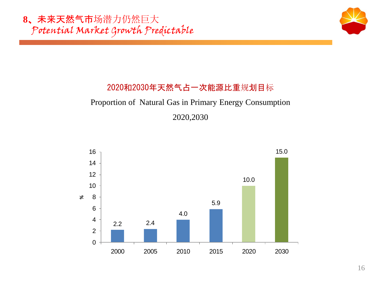

### 2020和2030年天然气占一次能源比重规划目标

### Proportion of Natural Gas in Primary Energy Consumption 2020,2030

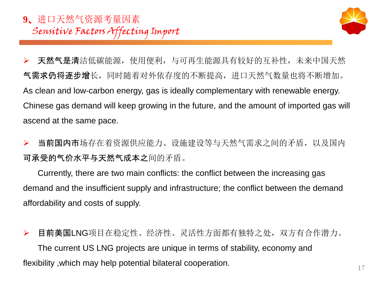

 天然气是清洁低碳能源,使用便利,与可再生能源具有较好的互补性,未来中国天然 气需求仍将逐步增长,同时随着对外依存度的不断提高,进口天然气数量也将不断增加。 As clean and low-carbon energy, gas is ideally complementary with renewable energy. Chinese gas demand will keep growing in the future, and the amount of imported gas will ascend at the same pace.

 当前国内市场存在着资源供应能力、设施建设等与天然气需求之间的矛盾,以及国内 可承受的气价水平与天然气成本之间的矛盾。

Currently, there are two main conflicts: the conflict between the increasing gas demand and the insufficient supply and infrastructure; the conflict between the demand affordability and costs of supply.

 目前美国LNG项目在稳定性、经济性、灵活性方面都有独特之处,双方有合作潜力。 The current US LNG projects are unique in terms of stability, economy and flexibility ,which may help potential bilateral cooperation.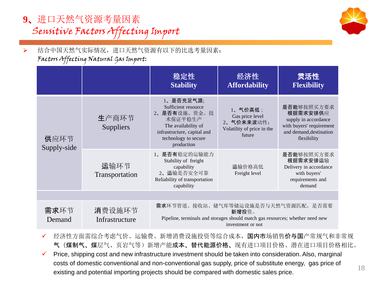**9**、进口天然气资源考量因素 Sensitive Factors Affecting Import



结合中国天然气实际情况,进口天然气资源有以下的比选考量因素:

Factors Affecting Natural Gas Import:

|                     |                          | 稳定性<br><b>Stability</b>                                                                                                                                 | 经济性<br><b>Affordability</b>                                                      | 灵活性<br><b>Flexibility</b>                                                                                            |  |  |
|---------------------|--------------------------|---------------------------------------------------------------------------------------------------------------------------------------------------------|----------------------------------------------------------------------------------|----------------------------------------------------------------------------------------------------------------------|--|--|
| 供应环节<br>Supply-side | 生产商环节<br>Suppliers       | 1、是否充足气源;<br>Sufficient resource<br>2、是否有设施、资金、技<br>术保证平稳生产<br>The availability of<br>infrastructure, capital and<br>technology to secure<br>production | 1、气价高低;<br>Gas price level<br>2、气价未来波动性;<br>Volatility of price in the<br>future | 是否能够按照买方要求<br>根据需求安排供应<br>supply in accordance<br>with buyers' requirement<br>and demand, destination<br>flexibility |  |  |
|                     | 运输环节<br>Transportation   | 1、是否有稳定的运输能力<br>Stability of freight<br>capability<br>2、运输是否安全可靠<br>Reliability of transportation<br>capability                                         | 运输价格高低<br>Freight level                                                          | 是否能够按照买方要求<br>根据需求安排运输<br>Delivery in accordance<br>with buyers'<br>requirements and<br>demand                       |  |  |
|                     |                          |                                                                                                                                                         |                                                                                  |                                                                                                                      |  |  |
| 需求环节<br>Demand      | 消费设施环节<br>Infrastructure | 需求环节管道、接收站、储气库等储运设施是否与天然气资源匹配, 是否需要<br>新增投资。<br>Pipeline, terminals and storages should match gas resources; whether need new<br>investment or not      |                                                                                  |                                                                                                                      |  |  |

- ✔ 经济性方面需综合考虑气价、运输费、新增消费设施投资等综合成本,国内市场销售价与国产常规气和非常规 气(煤制气、煤层气、页岩气等)新增产能成本、替代能源价格、现有进口项目价格、潜在进口项目价格相比。
- $\checkmark$  Price, shipping cost and new infrastructure investment should be taken into consideration. Also, marginal costs of domestic conventional and non-conventional gas supply, price of substitute energy, gas price of existing and potential importing projects should be compared with domestic sales price. These prices of the stating and potential importing projects should be compared with domestic sales price.